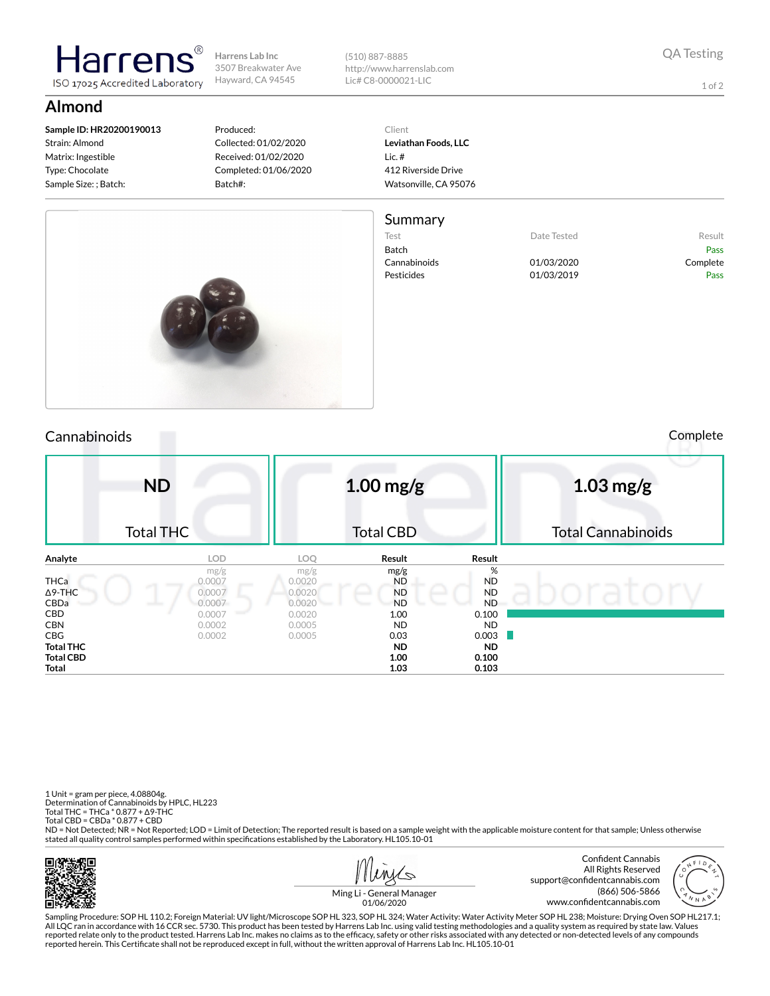**Harrens Lab Inc** 3507 Breakwater Ave Hayward, CA 94545

(510) 887-8885 http://www.harrenslab.com Lic# C8-0000021-LIC

1 of 2

## **Almond**

**Sample ID: HR20200190013** Strain: Almond Matrix: Ingestible Type: Chocolate Sample Size: ; Batch:

larrer

ISO 17025 Accredited Laboratory

## Produced: Collected: 01/02/2020 Received: 01/02/2020 Completed: 01/06/2020 Batch#:

Client **Leviathan Foods, LLC** Lic. # 412 Riverside Drive Watsonville, CA 95076

## Summary

Test **Date Tested** Result Batch Pass Cannabinoids 01/03/2020 Complete Pesticides 01/03/2019 Pass



Cannabinoids Complete

|                                               | <b>ND</b><br><b>Total THC</b>      |                                    | $1.00$ mg/g<br><b>Total CBD</b>             |                                          | $1.03$ mg/g<br><b>Total Cannabinoids</b> |  |  |  |
|-----------------------------------------------|------------------------------------|------------------------------------|---------------------------------------------|------------------------------------------|------------------------------------------|--|--|--|
| Analyte                                       | <b>LOD</b>                         | <b>LOQ</b>                         | Result                                      | Result                                   |                                          |  |  |  |
| <b>THCa</b><br>$\Delta$ 9-THC<br>CBDa         | mg/g<br>0.0007<br>0.0007<br>0.0007 | mg/g<br>0.0020<br>0.0020<br>0.0020 | mg/g<br><b>ND</b><br><b>ND</b><br><b>ND</b> | %<br><b>ND</b><br><b>ND</b><br><b>ND</b> |                                          |  |  |  |
| <b>CBD</b><br><b>CBN</b><br><b>CBG</b>        | 0.0007<br>0.0002<br>0.0002         | 0.0020<br>0.0005<br>0.0005         | 1.00<br><b>ND</b><br>0.03                   | 0.100<br><b>ND</b><br>0.003              |                                          |  |  |  |
| <b>Total THC</b><br><b>Total CBD</b><br>Total |                                    |                                    | ND.<br>1.00<br>1.03                         | <b>ND</b><br>0.100<br>0.103              |                                          |  |  |  |

1 Unit = gram per piece, 4.08804g. Determination of Cannabinoids by HPLC, HL223 Total THC = THCa \* 0.877 + ∆9-THC Total CBD = CBDa \* 0.877 + CBD

ND = Not Detected; NR = Not Reported; LOD = Limit of Detection; The reported result is based on a sample weight with the applicable moisture content for that sample; Unless otherwise stated all quality control samples performed within specifications established by the Laboratory. HL105.10-01





Ming Li - General Manager 01/06/2020

Sampling Procedure: SOP HL 110.2; Foreign Material: UV light/Microscope SOP HL 323, SOP HL 324; Water Activity: Water Activity Meter SOP HL 238; Moisture: Drying Oven SOP HL217.1; All LQC ran in accordance with 16 CCR sec. 5730. This product has been tested by Harrens Lab Inc. using valid testing methodologies and a quality system as required by state law. Values reported relate only to the product tested. Harrens Lab Inc. makes no claims as to the efficacy, safety or other risks associated with any detected or non-detected levels of any compounds<br>reported herein. This Certificate